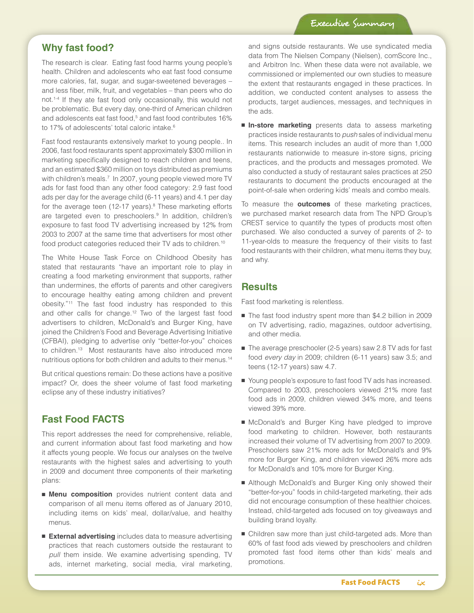### **Why fast food?**

The research is clear. Eating fast food harms young people's health. Children and adolescents who eat fast food consume more calories, fat, sugar, and sugar-sweetened beverages – and less fiber, milk, fruit, and vegetables – than peers who do not.1-4 If they ate fast food only occasionally, this would not be problematic. But every day, one-third of American children and adolescents eat fast food,<sup>5</sup> and fast food contributes 16% to 17% of adolescents' total caloric intake.<sup>6</sup>

Fast food restaurants extensively market to young people.. In 2006, fast food restaurants spent approximately \$300 million in marketing specifically designed to reach children and teens, and an estimated \$360 million on toys distributed as premiums with children's meals.<sup>7</sup> In 2007, young people viewed more TV ads for fast food than any other food category: 2.9 fast food ads per day for the average child (6-11 years) and 4.1 per day for the average teen (12-17 years).<sup>8</sup> These marketing efforts are targeted even to preschoolers.<sup>9</sup> In addition, children's exposure to fast food TV advertising increased by 12% from 2003 to 2007 at the same time that advertisers for most other food product categories reduced their TV ads to children.10

The White House Task Force on Childhood Obesity has stated that restaurants "have an important role to play in creating a food marketing environment that supports, rather than undermines, the efforts of parents and other caregivers to encourage healthy eating among children and prevent obesity."11 The fast food industry has responded to this and other calls for change.12 Two of the largest fast food advertisers to children, McDonald's and Burger King, have joined the Children's Food and Beverage Advertising Initiative (CFBAI), pledging to advertise only "better-for-you" choices to children.<sup>13</sup> Most restaurants have also introduced more nutritious options for both children and adults to their menus.14

But critical questions remain: Do these actions have a positive impact? Or, does the sheer volume of fast food marketing eclipse any of these industry initiatives?

# **Fast Food FACTS**

This report addresses the need for comprehensive, reliable, and current information about fast food marketing and how it affects young people. We focus our analyses on the twelve restaurants with the highest sales and advertising to youth in 2009 and document three components of their marketing plans:

- **Menu composition** provides nutrient content data and comparison of all menu items offered as of January 2010, including items on kids' meal, dollar/value, and healthy menus.
- **External advertising** includes data to measure advertising practices that reach customers outside the restaurant to *pull* them inside. We examine advertising spending, TV ads, internet marketing, social media, viral marketing,

and signs outside restaurants. We use syndicated media data from The Nielsen Company (Nielsen), comScore Inc., and Arbitron Inc. When these data were not available, we commissioned or implemented our own studies to measure the extent that restaurants engaged in these practices. In addition, we conducted content analyses to assess the products, target audiences, messages, and techniques in the ads.

■ **In-store marketing** presents data to assess marketing practices inside restaurants to *push* sales of individual menu items. This research includes an audit of more than 1,000 restaurants nationwide to measure in-store signs, pricing practices, and the products and messages promoted. We also conducted a study of restaurant sales practices at 250 restaurants to document the products encouraged at the point-of-sale when ordering kids' meals and combo meals.

To measure the **outcomes** of these marketing practices, we purchased market research data from The NPD Group's CREST service to quantify the types of products most often purchased. We also conducted a survey of parents of 2- to 11-year-olds to measure the frequency of their visits to fast food restaurants with their children, what menu items they buy, and why.

### **Results**

Fast food marketing is relentless.

- The fast food industry spent more than \$4.2 billion in 2009 on TV advertising, radio, magazines, outdoor advertising, and other media.
- The average preschooler (2-5 years) saw 2.8 TV ads for fast food *every day* in 2009; children (6-11 years) saw 3.5; and teens (12-17 years) saw 4.7.
- Young people's exposure to fast food TV ads has increased. Compared to 2003, preschoolers viewed 21% more fast food ads in 2009, children viewed 34% more, and teens viewed 39% more.
- McDonald's and Burger King have pledged to improve food marketing to children. However, both restaurants increased their volume of TV advertising from 2007 to 2009. Preschoolers saw 21% more ads for McDonald's and 9% more for Burger King, and children viewed 26% more ads for McDonald's and 10% more for Burger King.
- Although McDonald's and Burger King only showed their "better-for-you" foods in child-targeted marketing, their ads did not encourage consumption of these healthier choices. Instead, child-targeted ads focused on toy giveaways and building brand loyalty.
- Children saw more than just child-targeted ads. More than 60% of fast food ads viewed by preschoolers and children promoted fast food items other than kids' meals and promotions.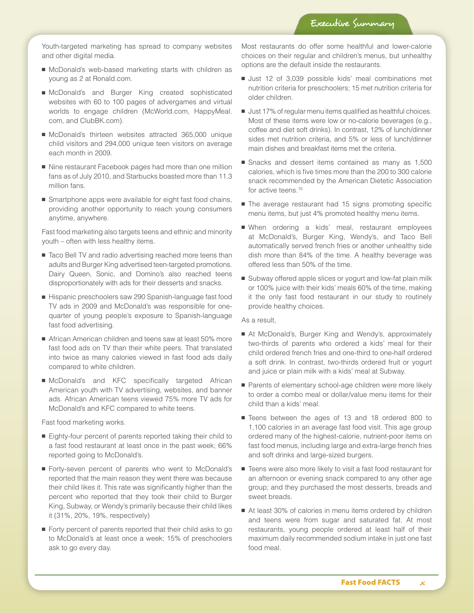Youth-targeted marketing has spread to company websites and other digital media.

- McDonald's web-based marketing starts with children as young as 2 at Ronald.com.
- McDonald's and Burger King created sophisticated websites with 60 to 100 pages of advergames and virtual worlds to engage children (McWorld.com, HappyMeal. com, and ClubBK.com).
- McDonald's thirteen websites attracted 365,000 unique child visitors and 294,000 unique teen visitors on average each month in 2009.
- Nine restaurant Facebook pages had more than one million fans as of July 2010, and Starbucks boasted more than 11.3 million fans.
- Smartphone apps were available for eight fast food chains, providing another opportunity to reach young consumers anytime, anywhere.

Fast food marketing also targets teens and ethnic and minority youth – often with less healthy items.

- Taco Bell TV and radio advertising reached more teens than adults and Burger King advertised teen-targeted promotions. Dairy Queen, Sonic, and Domino's also reached teens disproportionately with ads for their desserts and snacks.
- Hispanic preschoolers saw 290 Spanish-language fast food TV ads in 2009 and McDonald's was responsible for onequarter of young people's exposure to Spanish-language fast food advertising.
- African American children and teens saw at least 50% more fast food ads on TV than their white peers. That translated into twice as many calories viewed in fast food ads daily compared to white children.
- McDonald's and KFC specifically targeted African American youth with TV advertising, websites, and banner ads. African American teens viewed 75% more TV ads for McDonald's and KFC compared to white teens.

Fast food marketing works.

- Eighty-four percent of parents reported taking their child to a fast food restaurant at least once in the past week; 66% reported going to McDonald's.
- Forty-seven percent of parents who went to McDonald's reported that the main reason they went there was because their child likes it. This rate was significantly higher than the percent who reported that they took their child to Burger King, Subway, or Wendy's primarily because their child likes it (31%, 20%, 19%, respectively)
- $\blacksquare$  Forty percent of parents reported that their child asks to go to McDonald's at least once a week; 15% of preschoolers ask to go every day.

Most restaurants do offer some healthful and lower-calorie choices on their regular and children's menus, but unhealthy options are the default inside the restaurants.

- Just 12 of 3,039 possible kids' meal combinations met nutrition criteria for preschoolers; 15 met nutrition criteria for older children.
- Just 17% of regular menu items qualified as healthful choices. Most of these items were low or no-calorie beverages (e.g., coffee and diet soft drinks). In contrast, 12% of lunch/dinner sides met nutrition criteria, and 5% or less of lunch/dinner main dishes and breakfast items met the criteria.
- Snacks and dessert items contained as many as 1,500 calories, which is five times more than the 200 to 300 calorie snack recommended by the American Dietetic Association for active teens.<sup>15</sup>
- The average restaurant had 15 signs promoting specific menu items, but just 4% promoted healthy menu items.
- When ordering a kids' meal, restaurant employees at McDonald's, Burger King, Wendy's, and Taco Bell automatically served french fries or another unhealthy side dish more than 84% of the time. A healthy beverage was offered less than 50% of the time.
- Subway offered apple slices or yogurt and low-fat plain milk or 100% juice with their kids' meals 60% of the time, making it the only fast food restaurant in our study to routinely provide healthy choices.

As a result,

- At McDonald's, Burger King and Wendy's, approximately two-thirds of parents who ordered a kids' meal for their child ordered french fries and one-third to one-half ordered a soft drink. In contrast, two-thirds ordered fruit or yogurt and juice or plain milk with a kids' meal at Subway.
- Parents of elementary school-age children were more likely to order a combo meal or dollar/value menu items for their child than a kids' meal.
- Teens between the ages of 13 and 18 ordered 800 to 1,100 calories in an average fast food visit. This age group ordered many of the highest-calorie, nutrient-poor items on fast food menus, including large and extra-large french fries and soft drinks and large-sized burgers.
- Teens were also more likely to visit a fast food restaurant for an afternoon or evening snack compared to any other age group; and they purchased the most desserts, breads and sweet breads.
- At least 30% of calories in menu items ordered by children and teens were from sugar and saturated fat. At most restaurants, young people ordered at least half of their maximum daily recommended sodium intake in just one fast food meal.